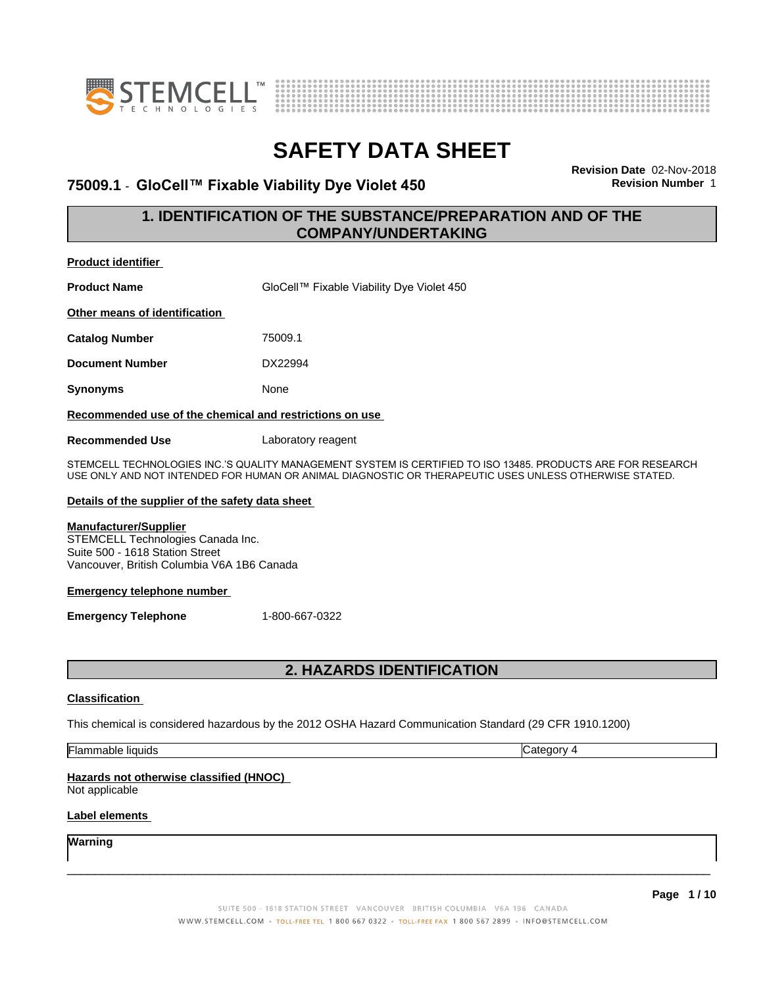



### **75009.1** - **GloCell™ FixableViabilityDyeViolet450 Revision Number** 1

**Revision Date** 02-Nov-2018

### **1. IDENTIFICATION OF THE SUBSTANCE/PREPARATION AND OF THE COMPANY/UNDERTAKING**

| Product identifier                                                                                                                                 |                                                                                                                                                                                                                      |  |  |
|----------------------------------------------------------------------------------------------------------------------------------------------------|----------------------------------------------------------------------------------------------------------------------------------------------------------------------------------------------------------------------|--|--|
| <b>Product Name</b>                                                                                                                                | GloCell™ Fixable Viability Dye Violet 450                                                                                                                                                                            |  |  |
| Other means of identification                                                                                                                      |                                                                                                                                                                                                                      |  |  |
| Catalog Number                                                                                                                                     | 75009.1                                                                                                                                                                                                              |  |  |
| <b>Document Number</b>                                                                                                                             | DX22994                                                                                                                                                                                                              |  |  |
| Synonyms                                                                                                                                           | None                                                                                                                                                                                                                 |  |  |
| Recommended use of the chemical and restrictions on use                                                                                            |                                                                                                                                                                                                                      |  |  |
| <b>Recommended Use</b>                                                                                                                             | Laboratory reagent                                                                                                                                                                                                   |  |  |
|                                                                                                                                                    | STEMCELL TECHNOLOGIES INC.'S QUALITY MANAGEMENT SYSTEM IS CERTIFIED TO ISO 13485. PRODUCTS ARE FOR RESEARCH<br>USE ONLY AND NOT INTENDED FOR HUMAN OR ANIMAL DIAGNOSTIC OR THERAPEUTIC USES UNLESS OTHERWISE STATED. |  |  |
| Details of the supplier of the safety data sheet                                                                                                   |                                                                                                                                                                                                                      |  |  |
| <b>Manufacturer/Supplier</b><br>STEMCELL Technologies Canada Inc.<br>Suite 500 - 1618 Station Street<br>Vancouver, British Columbia V6A 1B6 Canada |                                                                                                                                                                                                                      |  |  |
| <b>Emergency telephone number</b>                                                                                                                  |                                                                                                                                                                                                                      |  |  |
| <b>Emergency Telephone</b>                                                                                                                         | 1-800-667-0322                                                                                                                                                                                                       |  |  |

### **2. HAZARDS IDENTIFICATION**

### **Classification**

This chemical is considered hazardous by the 2012 OSHA Hazard Communication Standard (29 CFR 1910.1200)

Flammable liquids Category 4

### **Hazards not otherwise classified (HNOC)**

Not applicable

### **Label elements**

**Warning**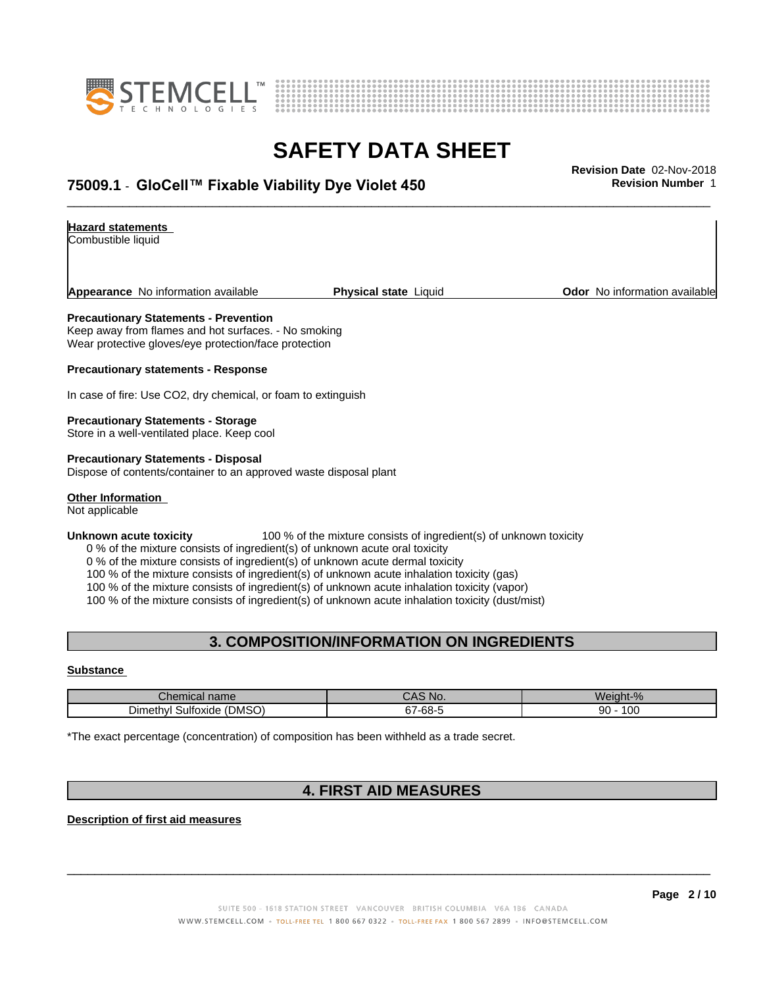



# **SAFETY DATA SHEET**<br>Revision Date 02-Nov-2018

### \_\_\_\_\_\_\_\_\_\_\_\_\_\_\_\_\_\_\_\_\_\_\_\_\_\_\_\_\_\_\_\_\_\_\_\_\_\_\_\_\_\_\_\_\_\_\_\_\_\_\_\_\_\_\_\_\_\_\_\_\_\_\_\_\_\_\_\_\_\_\_\_\_\_\_\_\_\_\_\_\_\_\_\_\_\_\_\_\_\_\_\_\_ **Revision Date** 02-Nov-2018 **75009.1** - **GloCell™ FixableViabilityDyeViolet450 Revision Number** 1

#### **Hazard statements**

Combustible liquid

**Appearance** No information available **Physical state** Liquid **Department Constant Community Odor** No information available

#### **Precautionary Statements - Prevention**

Keep away from flames and hot surfaces. - No smoking Wear protective gloves/eye protection/face protection

**Precautionary statements - Response**

In case of fire: Use CO2, dry chemical, or foam to extinguish

#### **Precautionary Statements - Storage**

Store in a well-ventilated place. Keep cool

**Precautionary Statements - Disposal** Dispose of contents/container to an approved waste disposal plant

#### **Other Information**

Not applicable

#### **Unknown acute toxicity** 100 % of the mixture consists of ingredient(s) of unknown toxicity

0 % of the mixture consists of ingredient(s) of unknown acute oral toxicity

0 % of the mixture consists of ingredient(s) of unknown acute dermal toxicity

100 % of the mixture consists of ingredient(s) of unknown acute inhalation toxicity (gas)

100 % of the mixture consists of ingredient(s) of unknown acute inhalation toxicity (vapor)

100 % of the mixture consists of ingredient(s) of unknown acute inhalation toxicity (dust/mist)

### **3. COMPOSITION/INFORMATION ON INGREDIENTS**

#### **Substance**

| <b>Thon</b><br>cal name<br>$\sim$<br>ulellik       | <b>NIC</b><br>. IV.                   | $\blacksquare$<br>$\sim$<br>We |
|----------------------------------------------------|---------------------------------------|--------------------------------|
| (DMSO)<br>Sultoxide<br><b>Dimethv</b> <sup>1</sup> | $\sim$<br>-68-<br>. . <i>.</i><br>. . | $\sim$<br>90<br>טע.            |

\*The exact percentage (concentration) of composition has been withheld as a trade secret.

### **4. FIRST AID MEASURES**

**Description of first aid measures**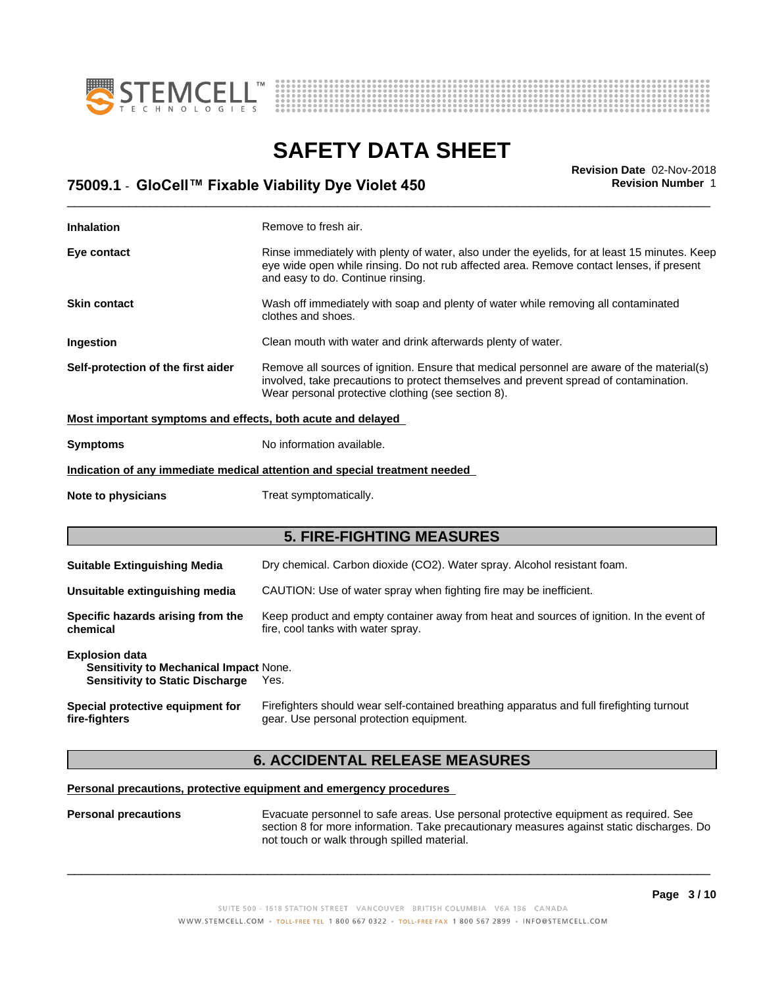



# **SAFETY DATA SHEET**<br>Revision Date 02-Nov-2018

### \_\_\_\_\_\_\_\_\_\_\_\_\_\_\_\_\_\_\_\_\_\_\_\_\_\_\_\_\_\_\_\_\_\_\_\_\_\_\_\_\_\_\_\_\_\_\_\_\_\_\_\_\_\_\_\_\_\_\_\_\_\_\_\_\_\_\_\_\_\_\_\_\_\_\_\_\_\_\_\_\_\_\_\_\_\_\_\_\_\_\_\_\_ **Revision Date** 02-Nov-2018 **75009.1** - **GloCell™ FixableViabilityDyeViolet450 Revision Number** 1

| <b>Inhalation</b>                                                                                                | Remove to fresh air.                                                                                                                                                                                                                      |  |  |
|------------------------------------------------------------------------------------------------------------------|-------------------------------------------------------------------------------------------------------------------------------------------------------------------------------------------------------------------------------------------|--|--|
| Eye contact                                                                                                      | Rinse immediately with plenty of water, also under the eyelids, for at least 15 minutes. Keep<br>eye wide open while rinsing. Do not rub affected area. Remove contact lenses, if present<br>and easy to do. Continue rinsing.            |  |  |
| <b>Skin contact</b>                                                                                              | Wash off immediately with soap and plenty of water while removing all contaminated<br>clothes and shoes.                                                                                                                                  |  |  |
| Ingestion                                                                                                        | Clean mouth with water and drink afterwards plenty of water.                                                                                                                                                                              |  |  |
| Self-protection of the first aider                                                                               | Remove all sources of ignition. Ensure that medical personnel are aware of the material(s)<br>involved, take precautions to protect themselves and prevent spread of contamination.<br>Wear personal protective clothing (see section 8). |  |  |
| Most important symptoms and effects, both acute and delayed                                                      |                                                                                                                                                                                                                                           |  |  |
| <b>Symptoms</b>                                                                                                  | No information available.                                                                                                                                                                                                                 |  |  |
|                                                                                                                  | Indication of any immediate medical attention and special treatment needed                                                                                                                                                                |  |  |
| Note to physicians                                                                                               | Treat symptomatically.                                                                                                                                                                                                                    |  |  |
|                                                                                                                  | <b>5. FIRE-FIGHTING MEASURES</b>                                                                                                                                                                                                          |  |  |
| <b>Suitable Extinguishing Media</b>                                                                              | Dry chemical. Carbon dioxide (CO2). Water spray. Alcohol resistant foam.                                                                                                                                                                  |  |  |
| Unsuitable extinguishing media                                                                                   | CAUTION: Use of water spray when fighting fire may be inefficient.                                                                                                                                                                        |  |  |
| Specific hazards arising from the<br>chemical                                                                    | Keep product and empty container away from heat and sources of ignition. In the event of<br>fire, cool tanks with water spray.                                                                                                            |  |  |
| <b>Explosion data</b><br><b>Sensitivity to Mechanical Impact None.</b><br><b>Sensitivity to Static Discharge</b> | Yes.                                                                                                                                                                                                                                      |  |  |
| Special protective equipment for<br>fire-fighters                                                                | Firefighters should wear self-contained breathing apparatus and full firefighting turnout<br>gear. Use personal protection equipment.                                                                                                     |  |  |

### **6. ACCIDENTAL RELEASE MEASURES**

### **Personal precautions, protective equipment and emergency procedures**

**Personal precautions** Evacuate personnel to safe areas. Use personal protective equipment as required.See section 8 for more information. Take precautionary measures against static discharges. Do not touch or walk through spilled material.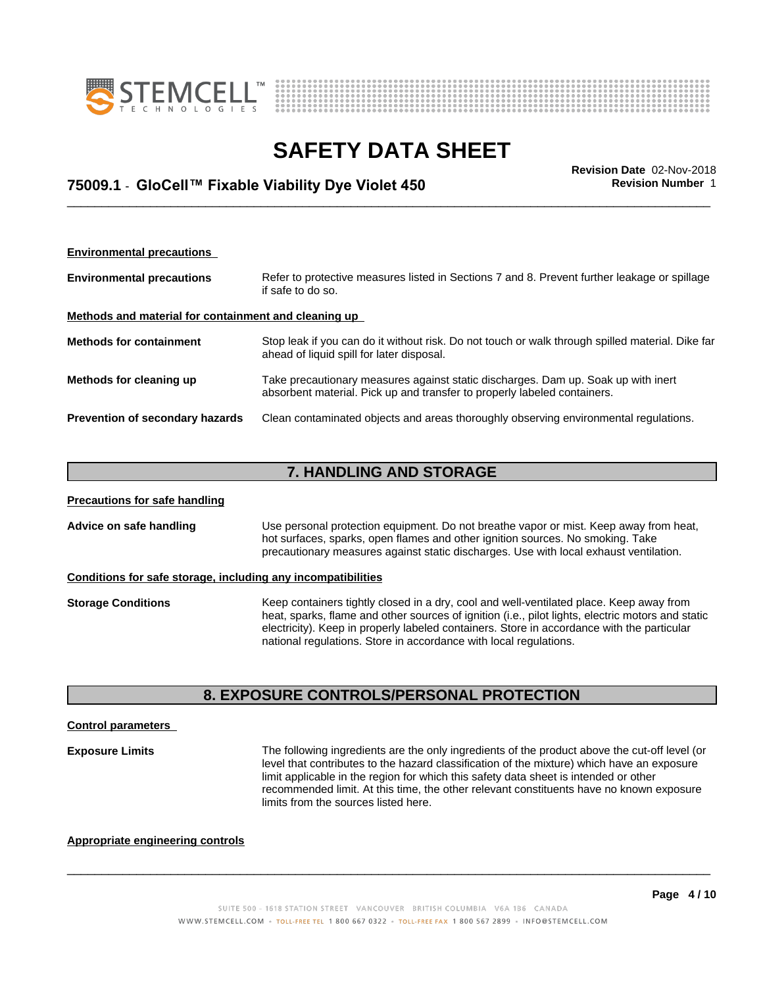



### \_\_\_\_\_\_\_\_\_\_\_\_\_\_\_\_\_\_\_\_\_\_\_\_\_\_\_\_\_\_\_\_\_\_\_\_\_\_\_\_\_\_\_\_\_\_\_\_\_\_\_\_\_\_\_\_\_\_\_\_\_\_\_\_\_\_\_\_\_\_\_\_\_\_\_\_\_\_\_\_\_\_\_\_\_\_\_\_\_\_\_\_\_ **Revision Date** 02-Nov-2018 **75009.1** - **GloCell™ FixableViabilityDyeViolet450 Revision Number** 1

| <b>Environmental precautions</b>                     |                                                                                                                                                               |  |  |  |  |
|------------------------------------------------------|---------------------------------------------------------------------------------------------------------------------------------------------------------------|--|--|--|--|
| <b>Environmental precautions</b>                     | Refer to protective measures listed in Sections 7 and 8. Prevent further leakage or spillage<br>if safe to do so.                                             |  |  |  |  |
| Methods and material for containment and cleaning up |                                                                                                                                                               |  |  |  |  |
| <b>Methods for containment</b>                       | Stop leak if you can do it without risk. Do not touch or walk through spilled material. Dike far<br>ahead of liquid spill for later disposal.                 |  |  |  |  |
| Methods for cleaning up                              | Take precautionary measures against static discharges. Dam up. Soak up with inert<br>absorbent material. Pick up and transfer to properly labeled containers. |  |  |  |  |
| Prevention of secondary hazards                      | Clean contaminated objects and areas thoroughly observing environmental regulations.                                                                          |  |  |  |  |

### **7. HANDLING AND STORAGE**

| <b>Precautions for safe handling</b> |                                                                                                                                                                                                                                                                                                                                                                 |  |  |  |
|--------------------------------------|-----------------------------------------------------------------------------------------------------------------------------------------------------------------------------------------------------------------------------------------------------------------------------------------------------------------------------------------------------------------|--|--|--|
| Advice on safe handling              | Use personal protection equipment. Do not breathe vapor or mist. Keep away from heat,<br>hot surfaces, sparks, open flames and other ignition sources. No smoking. Take<br>precautionary measures against static discharges. Use with local exhaust ventilation.                                                                                                |  |  |  |
|                                      | Conditions for safe storage, including any incompatibilities                                                                                                                                                                                                                                                                                                    |  |  |  |
| <b>Storage Conditions</b>            | Keep containers tightly closed in a dry, cool and well-ventilated place. Keep away from<br>heat, sparks, flame and other sources of ignition (i.e., pilot lights, electric motors and static<br>electricity). Keep in properly labeled containers. Store in accordance with the particular<br>national regulations. Store in accordance with local regulations. |  |  |  |

### **8. EXPOSURE CONTROLS/PERSONAL PROTECTION**

#### **Control parameters**

**Exposure Limits** The following ingredients are the only ingredients of the product above the cut-off level (or level that contributes to the hazard classification of the mixture) which have an exposure limit applicable in the region for which this safety data sheet is intended or other recommended limit. At this time, the other relevant constituents have no known exposure limits from the sources listed here.

 $\overline{\phantom{a}}$  ,  $\overline{\phantom{a}}$  ,  $\overline{\phantom{a}}$  ,  $\overline{\phantom{a}}$  ,  $\overline{\phantom{a}}$  ,  $\overline{\phantom{a}}$  ,  $\overline{\phantom{a}}$  ,  $\overline{\phantom{a}}$  ,  $\overline{\phantom{a}}$  ,  $\overline{\phantom{a}}$  ,  $\overline{\phantom{a}}$  ,  $\overline{\phantom{a}}$  ,  $\overline{\phantom{a}}$  ,  $\overline{\phantom{a}}$  ,  $\overline{\phantom{a}}$  ,  $\overline{\phantom{a}}$ 

### **Appropriate engineering controls**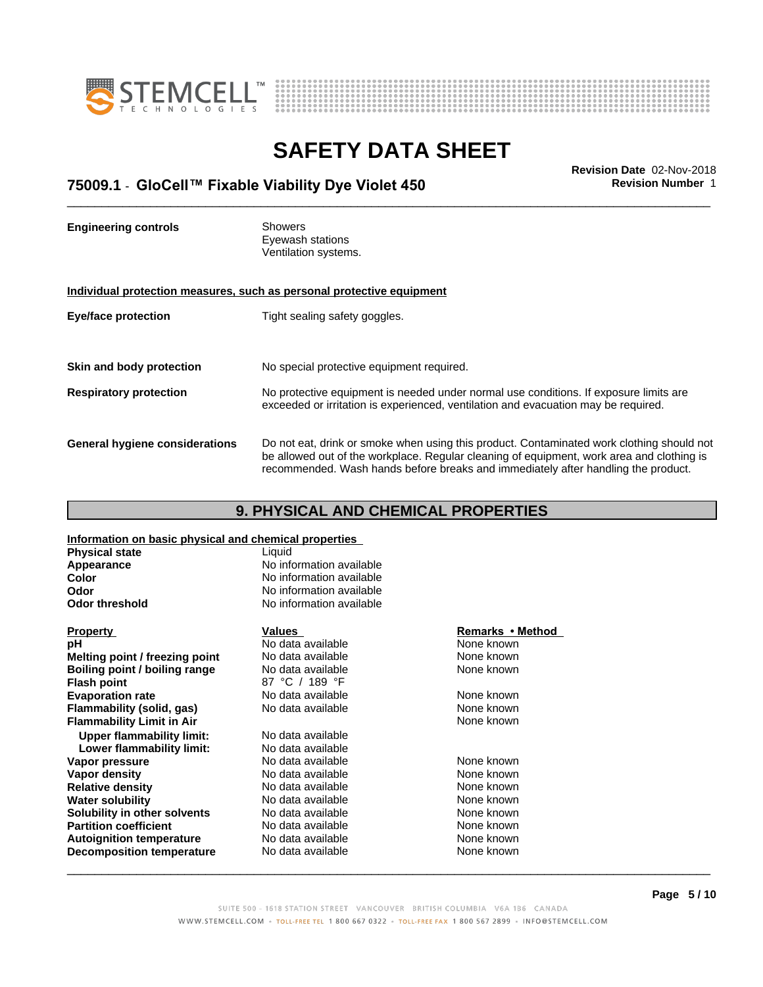



### \_\_\_\_\_\_\_\_\_\_\_\_\_\_\_\_\_\_\_\_\_\_\_\_\_\_\_\_\_\_\_\_\_\_\_\_\_\_\_\_\_\_\_\_\_\_\_\_\_\_\_\_\_\_\_\_\_\_\_\_\_\_\_\_\_\_\_\_\_\_\_\_\_\_\_\_\_\_\_\_\_\_\_\_\_\_\_\_\_\_\_\_\_ **Revision Date** 02-Nov-2018 **75009.1** - **GloCell™ FixableViabilityDyeViolet450 Revision Number** 1

**Engineering controls** Showers Eyewash stations Ventilation systems. **Individual protection measures, such as personal protective equipment Eye/face protection** Tight sealing safety goggles. **Skin and body protection** No special protective equipment required. **Respiratory protection** No protective equipment is needed under normal use conditions. If exposure limits are exceeded or irritation is experienced, ventilation and evacuation may be required. **General hygiene considerations** Do not eat, drink or smoke when using this product. Contaminated work clothing should not be allowed out of the workplace. Regular cleaning of equipment, work area and clothing is recommended. Wash hands before breaks and immediately after handling the product.

### **9. PHYSICAL AND CHEMICAL PROPERTIES**

**Information on basic physical and chemical properties**

| <b>Physical state</b>            | Liquid                   |                  |
|----------------------------------|--------------------------|------------------|
| Appearance                       | No information available |                  |
| Color                            | No information available |                  |
| <b>Odor</b>                      | No information available |                  |
| <b>Odor threshold</b>            | No information available |                  |
| <b>Property</b>                  | Values                   | Remarks • Method |
| рH                               | No data available        | None known       |
| Melting point / freezing point   | No data available        | None known       |
| Boiling point / boiling range    | No data available        | None known       |
| <b>Flash point</b>               | 87 °C / 189 °F           |                  |
| <b>Evaporation rate</b>          | No data available        | None known       |
| Flammability (solid, gas)        | No data available        | None known       |
| <b>Flammability Limit in Air</b> |                          | None known       |
| <b>Upper flammability limit:</b> | No data available        |                  |
| Lower flammability limit:        | No data available        |                  |
| Vapor pressure                   | No data available        | None known       |
| Vapor density                    | No data available        | None known       |
| <b>Relative density</b>          | No data available        | None known       |
| <b>Water solubility</b>          | No data available        | None known       |
| Solubility in other solvents     | No data available        | None known       |
| <b>Partition coefficient</b>     | No data available        | None known       |
| <b>Autoignition temperature</b>  | No data available        | None known       |
| <b>Decomposition temperature</b> | No data available        | None known       |
|                                  |                          |                  |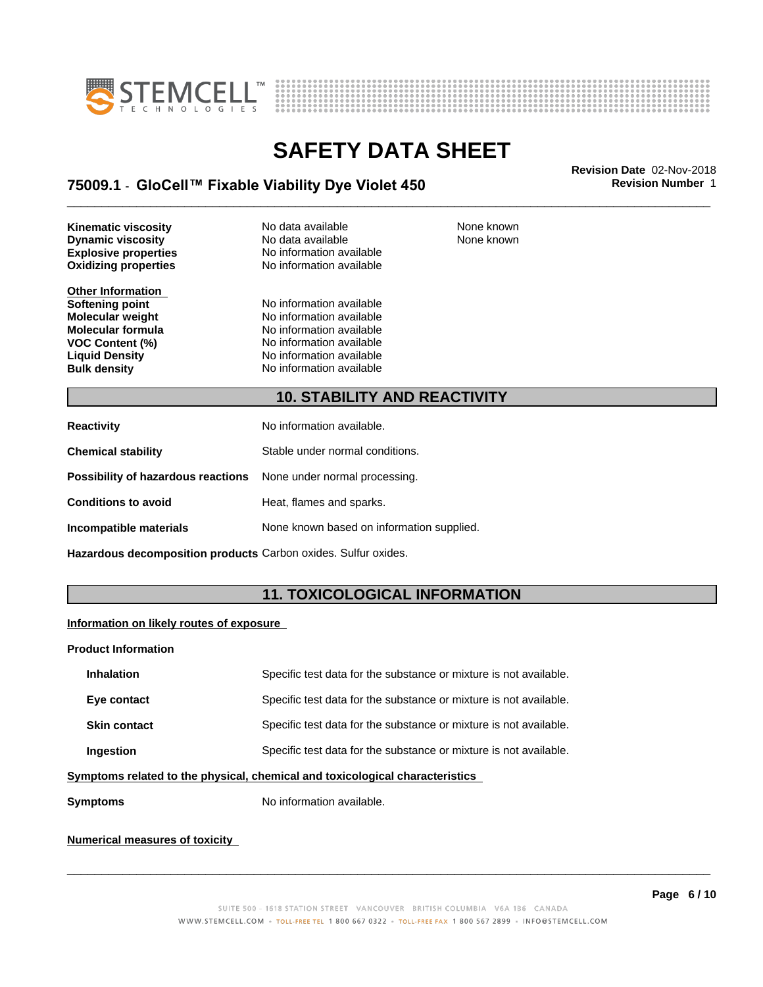



### \_\_\_\_\_\_\_\_\_\_\_\_\_\_\_\_\_\_\_\_\_\_\_\_\_\_\_\_\_\_\_\_\_\_\_\_\_\_\_\_\_\_\_\_\_\_\_\_\_\_\_\_\_\_\_\_\_\_\_\_\_\_\_\_\_\_\_\_\_\_\_\_\_\_\_\_\_\_\_\_\_\_\_\_\_\_\_\_\_\_\_\_\_ **Revision Date** 02-Nov-2018 **75009.1** - **GloCell™ FixableViabilityDyeViolet450 Revision Number** 1

**Oxidizing properties Kinematic viscosity No data available None known Dynamic viscosity** No data available

**Other Information**

**Explosive properties**<br> **Oxidizing properties**<br>
No information available

**Softening point**<br> **Molecular weight**<br> **Molecular weight**<br> **Molecular weight**<br> **Molecular weight Molecular weight Molecular is a structure of the No information available Molecular formula Molecular System Molecular formula** No information available<br> **VOC Content (%)** No information available **VOC Content (%)**<br> **Liquid Density**<br> **No information available Liquid Density No information available**<br> **Bulk density No information available No information available**  None known

### **10. STABILITY AND REACTIVITY**

| <b>Reactivity</b>                                                       | No information available.                 |
|-------------------------------------------------------------------------|-------------------------------------------|
| <b>Chemical stability</b>                                               | Stable under normal conditions.           |
| <b>Possibility of hazardous reactions</b> None under normal processing. |                                           |
| <b>Conditions to avoid</b>                                              | Heat, flames and sparks.                  |
| Incompatible materials                                                  | None known based on information supplied. |

**Hazardous decomposition products** Carbon oxides. Sulfur oxides.

### **11. TOXICOLOGICAL INFORMATION**

### **Information on likely routes of exposure**

#### **Product Information**

| <b>Inhalation</b>                                                                     | Specific test data for the substance or mixture is not available. |  |
|---------------------------------------------------------------------------------------|-------------------------------------------------------------------|--|
| Eye contact                                                                           | Specific test data for the substance or mixture is not available. |  |
| <b>Skin contact</b>                                                                   | Specific test data for the substance or mixture is not available. |  |
| Specific test data for the substance or mixture is not available.<br><b>Ingestion</b> |                                                                   |  |
| umptama xalatad ta tha phugiaal, ahamigal and taylaalagigal ahaxaatayigtiga.          |                                                                   |  |

**Symptoms related to the physical,chemical and toxicological characteristics**

**Symptoms** No information available.

### **Numerical measures of toxicity**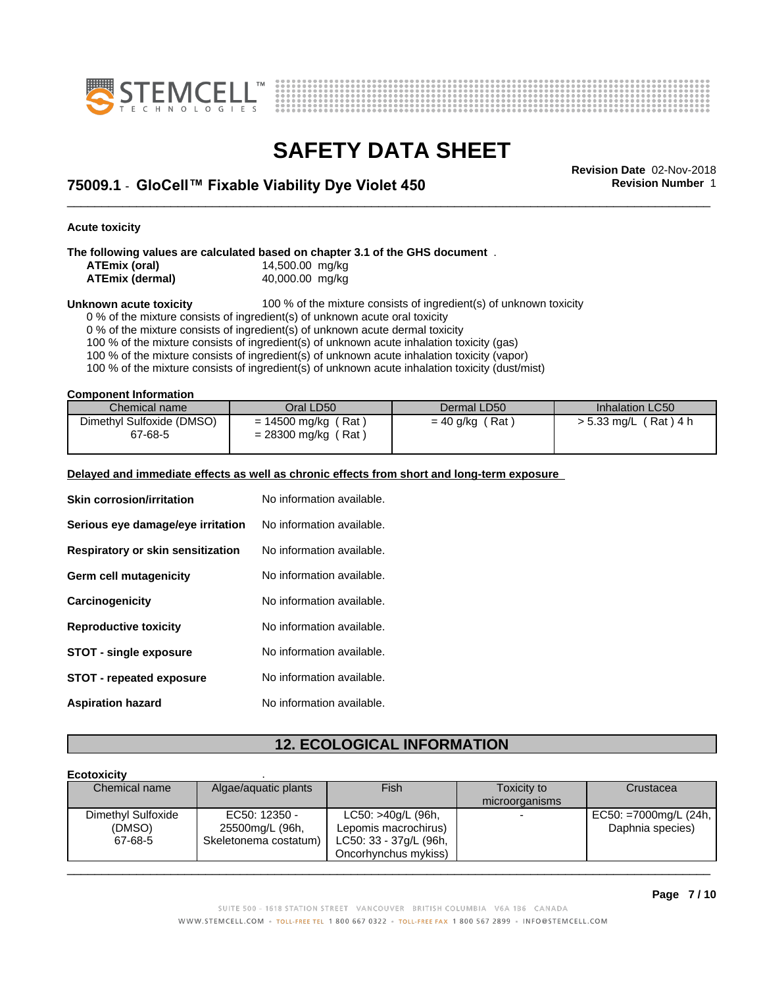



\_\_\_\_\_\_\_\_\_\_\_\_\_\_\_\_\_\_\_\_\_\_\_\_\_\_\_\_\_\_\_\_\_\_\_\_\_\_\_\_\_\_\_\_\_\_\_\_\_\_\_\_\_\_\_\_\_\_\_\_\_\_\_\_\_\_\_\_\_\_\_\_\_\_\_\_\_\_\_\_\_\_\_\_\_\_\_\_\_\_\_\_\_ **Revision Date** 02-Nov-2018 **75009.1** - **GloCell™ FixableViabilityDyeViolet450 Revision Number** 1

**Acute toxicity**

**The following values are calculated based on chapter 3.1 of the GHS document** .

| ATEmix (oral)          | 14,500.00 mg/kg |  |
|------------------------|-----------------|--|
| <b>ATEmix (dermal)</b> | 40,000.00 mg/kg |  |

**Unknown acute toxicity** 100 % of the mixture consists of ingredient(s) of unknown toxicity

0 % of the mixture consists of ingredient(s) of unknown acute oral toxicity

0 % of the mixture consists of ingredient(s) of unknown acute dermal toxicity

100 % of the mixture consists of ingredient(s) of unknown acute inhalation toxicity (gas)

100 % of the mixture consists of ingredient(s) of unknown acute inhalation toxicity (vapor)

100 % of the mixture consists of ingredient(s) of unknown acute inhalation toxicity (dust/mist)

**Component Information**

| Chemical name                        | Oral LD50                                                  | Dermal LD50            | Inhalation LC50         |
|--------------------------------------|------------------------------------------------------------|------------------------|-------------------------|
| Dimethyl Sulfoxide (DMSO)<br>67-68-5 | (Rat<br>$= 14500$ mg/kg (<br>$'$ Rat,<br>$= 28300$ mg/kg ( | (Rat)<br>$= 40$ g/kg ( | 「Rat)4 h<br>> 5.33 mg/L |

#### **Delayed and immediate effects as well as chronic effects from short and long-term exposure**

| <b>Skin corrosion/irritation</b>  | No information available. |
|-----------------------------------|---------------------------|
| Serious eye damage/eye irritation | No information available. |
| Respiratory or skin sensitization | No information available. |
| Germ cell mutagenicity            | No information available. |
| Carcinogenicity                   | No information available. |
| <b>Reproductive toxicity</b>      | No information available. |
| <b>STOT - single exposure</b>     | No information available. |
| <b>STOT - repeated exposure</b>   | No information available. |
| <b>Aspiration hazard</b>          | No information available. |

### **12. ECOLOGICAL INFORMATION**

#### **Ecotoxicity** . Chemical name Algae/aquatic plants Fish Fish Toxicity to microorganisms **Crustacea** Dimethyl Sulfoxide (DMSO) 67-68-5 Skeletonema costatum) EC50: 12350 - 25500mg/L (96h, LC50: >40g/L (96h, Lepomis macrochirus) LC50: 33 - 37g/L (96h, Oncorhynchus mykiss) EC50: =7000mg/L (24h, Daphnia species)  $\overline{\phantom{a}}$  ,  $\overline{\phantom{a}}$  ,  $\overline{\phantom{a}}$  ,  $\overline{\phantom{a}}$  ,  $\overline{\phantom{a}}$  ,  $\overline{\phantom{a}}$  ,  $\overline{\phantom{a}}$  ,  $\overline{\phantom{a}}$  ,  $\overline{\phantom{a}}$  ,  $\overline{\phantom{a}}$  ,  $\overline{\phantom{a}}$  ,  $\overline{\phantom{a}}$  ,  $\overline{\phantom{a}}$  ,  $\overline{\phantom{a}}$  ,  $\overline{\phantom{a}}$  ,  $\overline{\phantom{a}}$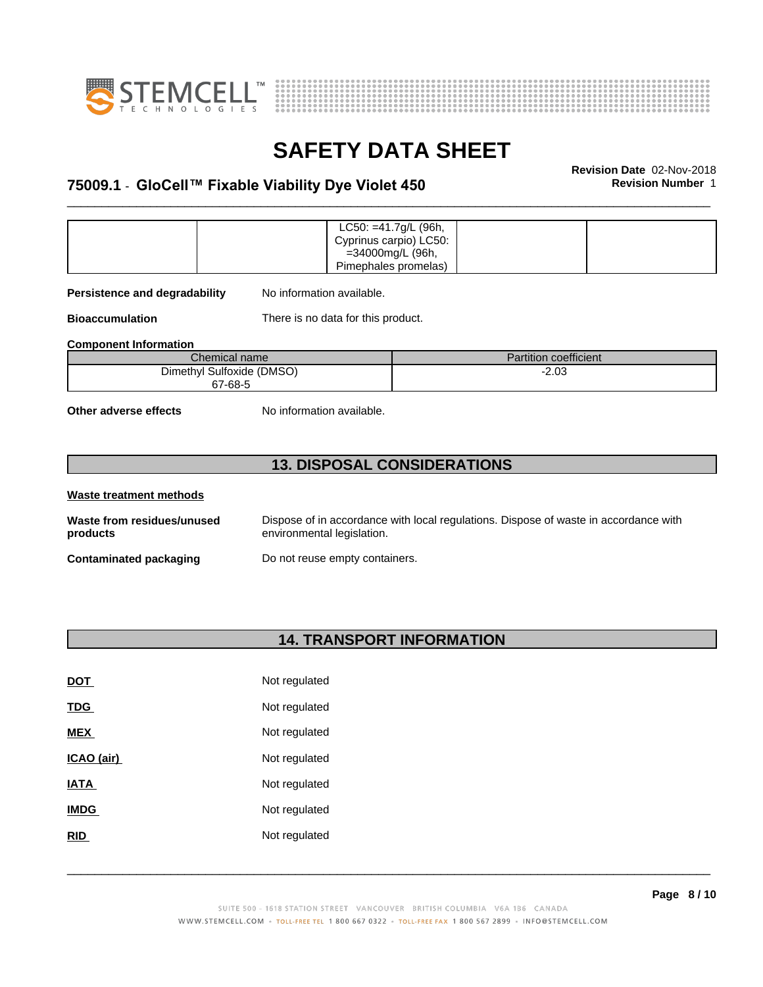



### \_\_\_\_\_\_\_\_\_\_\_\_\_\_\_\_\_\_\_\_\_\_\_\_\_\_\_\_\_\_\_\_\_\_\_\_\_\_\_\_\_\_\_\_\_\_\_\_\_\_\_\_\_\_\_\_\_\_\_\_\_\_\_\_\_\_\_\_\_\_\_\_\_\_\_\_\_\_\_\_\_\_\_\_\_\_\_\_\_\_\_\_\_ **Revision Date** 02-Nov-2018 **75009.1** - **GloCell™ FixableViabilityDyeViolet450 Revision Number** 1

|  | $LC50: = 41.7g/L$ (96h, |  |
|--|-------------------------|--|
|  | Cyprinus carpio) LC50:  |  |
|  | =34000mg/L (96h,        |  |
|  | Pimephales promelas)    |  |

**Persistence and degradability** No information available.

**Bioaccumulation** There is no data for this product.

**Component Information**

| Chemical name             | Partition coefficient |
|---------------------------|-----------------------|
| Dimethyl Sulfoxide (DMSO) | $-2.03$               |
| 67-68-5                   |                       |

**Other adverse effects** No information available.

### **13. DISPOSAL CONSIDERATIONS**

| Waste treatment methods                |                                                                                                                    |
|----------------------------------------|--------------------------------------------------------------------------------------------------------------------|
| Waste from residues/unused<br>products | Dispose of in accordance with local regulations. Dispose of waste in accordance with<br>environmental legislation. |
| <b>Contaminated packaging</b>          | Do not reuse empty containers.                                                                                     |

### **14. TRANSPORT INFORMATION**

| <b>DOT</b>  | Not regulated |
|-------------|---------------|
| TDG         | Not regulated |
| <b>MEX</b>  | Not regulated |
| ICAO (air)  | Not regulated |
| IATA        | Not regulated |
| <b>IMDG</b> | Not regulated |
| <b>RID</b>  | Not regulated |
|             |               |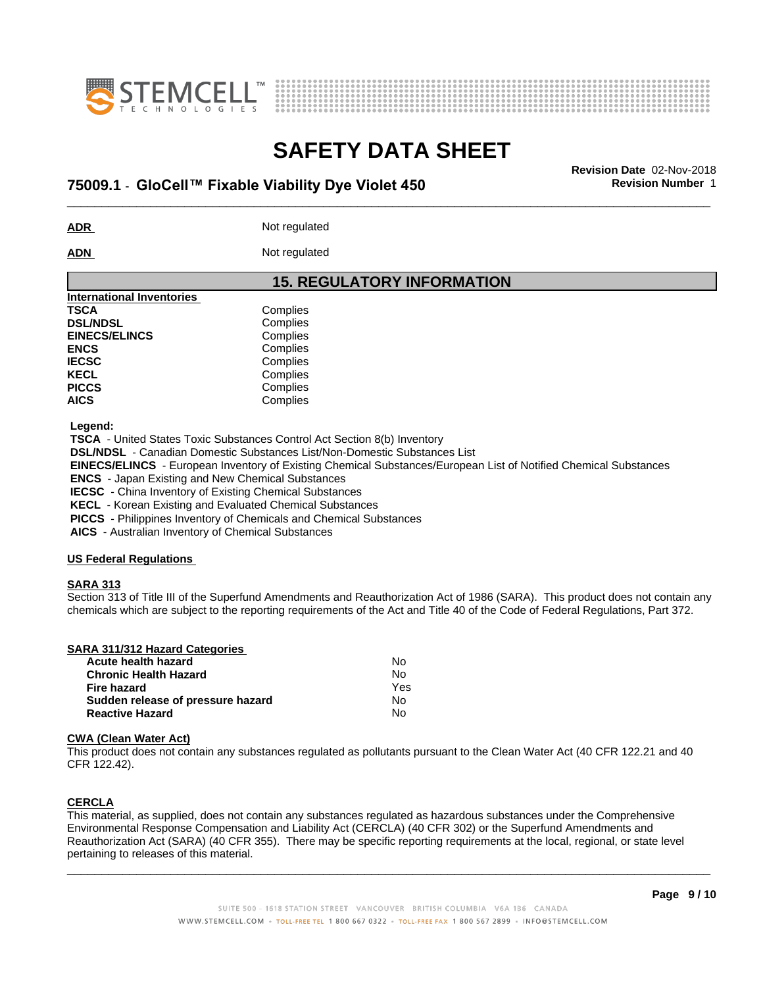



### \_\_\_\_\_\_\_\_\_\_\_\_\_\_\_\_\_\_\_\_\_\_\_\_\_\_\_\_\_\_\_\_\_\_\_\_\_\_\_\_\_\_\_\_\_\_\_\_\_\_\_\_\_\_\_\_\_\_\_\_\_\_\_\_\_\_\_\_\_\_\_\_\_\_\_\_\_\_\_\_\_\_\_\_\_\_\_\_\_\_\_\_\_ **Revision Date** 02-Nov-2018 **75009.1** - **GloCell™ FixableViabilityDyeViolet450 Revision Number** 1

**ADR** Not regulated

ADN Not regulated

### **15. REGULATORY INFORMATION**

| Complies |  |
|----------|--|
| Complies |  |
| Complies |  |
| Complies |  |
| Complies |  |
| Complies |  |
| Complies |  |
| Complies |  |
|          |  |

 **Legend:**

 **TSCA** - United States Toxic Substances Control Act Section 8(b) Inventory

 **DSL/NDSL** - Canadian Domestic Substances List/Non-Domestic Substances List

 **EINECS/ELINCS** - European Inventory of Existing Chemical Substances/European List of Notified Chemical Substances

 **ENCS** - Japan Existing and New Chemical Substances

 **IECSC** - China Inventory of Existing Chemical Substances

 **KECL** - Korean Existing and Evaluated Chemical Substances

 **PICCS** - Philippines Inventory of Chemicals and Chemical Substances

 **AICS** - Australian Inventory of Chemical Substances

### **US Federal Regulations**

#### **SARA 313**

Section 313 of Title III of the Superfund Amendments and Reauthorization Act of 1986 (SARA). This product does not contain any chemicals which are subject to the reporting requirements of the Act and Title 40 of the Code of Federal Regulations, Part 372.

| SARA 311/312 Hazard Categories |             |
|--------------------------------|-------------|
| Acute health hazard            | No          |
| Chronic Hoolth Homerd          | $N_{\rm A}$ |

| 70000 110010 11010 1              |     |  |
|-----------------------------------|-----|--|
| Chronic Health Hazard             | N٥  |  |
| Fire hazard                       | Yes |  |
| Sudden release of pressure hazard | N٥  |  |
| <b>Reactive Hazard</b>            | N٥  |  |
|                                   |     |  |

#### **CWA** (Clean Water Act)

This product does not contain any substances regulated as pollutants pursuant to the Clean Water Act (40 CFR 122.21 and 40 CFR 122.42).

### **CERCLA**

This material, as supplied, does not contain any substances regulated as hazardous substances under the Comprehensive Environmental Response Compensation and Liability Act (CERCLA) (40 CFR 302) or the Superfund Amendments and Reauthorization Act (SARA) (40 CFR 355). There may be specific reporting requirements at the local, regional, or state level pertaining to releases of this material.